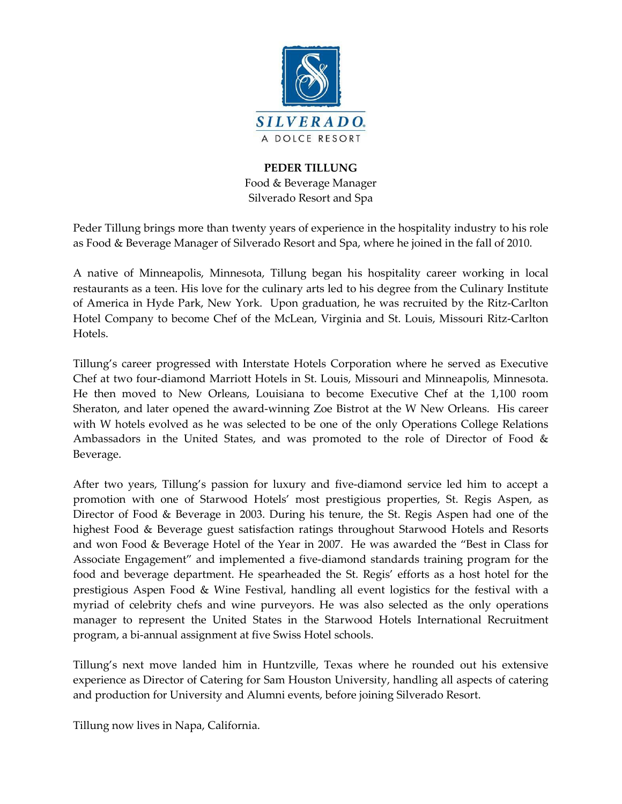

## **PEDER TILLUNG** Food & Beverage Manager Silverado Resort and Spa

Peder Tillung brings more than twenty years of experience in the hospitality industry to his role as Food & Beverage Manager of Silverado Resort and Spa, where he joined in the fall of 2010.

A native of Minneapolis, Minnesota, Tillung began his hospitality career working in local restaurants as a teen. His love for the culinary arts led to his degree from the Culinary Institute of America in Hyde Park, New York. Upon graduation, he was recruited by the Ritz-Carlton Hotel Company to become Chef of the McLean, Virginia and St. Louis, Missouri Ritz-Carlton Hotels.

Tillung's career progressed with Interstate Hotels Corporation where he served as Executive Chef at two four-diamond Marriott Hotels in St. Louis, Missouri and Minneapolis, Minnesota. He then moved to New Orleans, Louisiana to become Executive Chef at the 1,100 room Sheraton, and later opened the award-winning Zoe Bistrot at the W New Orleans. His career with W hotels evolved as he was selected to be one of the only Operations College Relations Ambassadors in the United States, and was promoted to the role of Director of Food & Beverage.

After two years, Tillung's passion for luxury and five-diamond service led him to accept a promotion with one of Starwood Hotels' most prestigious properties, St. Regis Aspen, as Director of Food & Beverage in 2003. During his tenure, the St. Regis Aspen had one of the highest Food & Beverage guest satisfaction ratings throughout Starwood Hotels and Resorts and won Food & Beverage Hotel of the Year in 2007. He was awarded the "Best in Class for Associate Engagement" and implemented a five-diamond standards training program for the food and beverage department. He spearheaded the St. Regis' efforts as a host hotel for the prestigious Aspen Food & Wine Festival, handling all event logistics for the festival with a myriad of celebrity chefs and wine purveyors. He was also selected as the only operations manager to represent the United States in the Starwood Hotels International Recruitment program, a bi-annual assignment at five Swiss Hotel schools.

Tillung's next move landed him in Huntzville, Texas where he rounded out his extensive experience as Director of Catering for Sam Houston University, handling all aspects of catering and production for University and Alumni events, before joining Silverado Resort.

Tillung now lives in Napa, California.